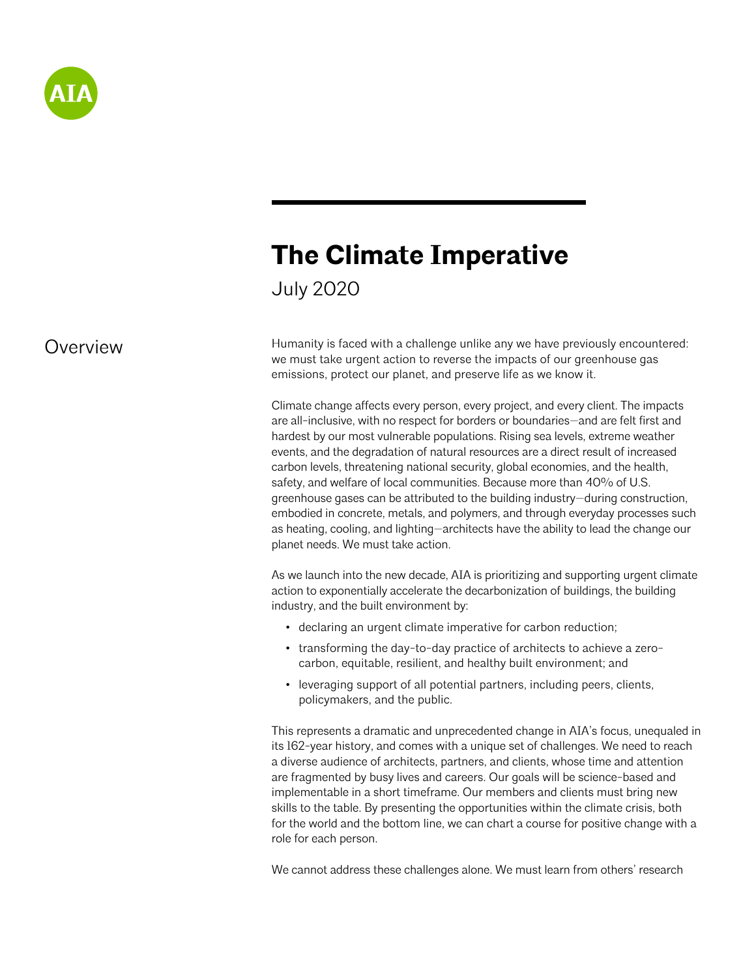

# **The Climate Imperative**

July 2020

## **Overview**

Humanity is faced with a challenge unlike any we have previously encountered: we must take urgent action to reverse the impacts of our greenhouse gas emissions, protect our planet, and preserve life as we know it.

Climate change affects every person, every project, and every client. The impacts are all-inclusive, with no respect for borders or boundaries—and are felt first and hardest by our most vulnerable populations. Rising sea levels, extreme weather events, and the degradation of natural resources are a direct result of increased carbon levels, threatening national security, global economies, and the health, safety, and welfare of local communities. Because more than 40% of U.S. greenhouse gases can be attributed to the building industry—during construction, embodied in concrete, metals, and polymers, and through everyday processes such as heating, cooling, and lighting—architects have the ability to lead the change our planet needs. We must take action.

As we launch into the new decade, AIA is prioritizing and supporting urgent climate action to exponentially accelerate the decarbonization of buildings, the building industry, and the built environment by:

- declaring an urgent climate imperative for carbon reduction;
- transforming the day-to-day practice of architects to achieve a zerocarbon, equitable, resilient, and healthy built environment; and
- leveraging support of all potential partners, including peers, clients, policymakers, and the public.

This represents a dramatic and unprecedented change in AIA's focus, unequaled in its 162-year history, and comes with a unique set of challenges. We need to reach a diverse audience of architects, partners, and clients, whose time and attention are fragmented by busy lives and careers. Our goals will be science-based and implementable in a short timeframe. Our members and clients must bring new skills to the table. By presenting the opportunities within the climate crisis, both for the world and the bottom line, we can chart a course for positive change with a role for each person.

We cannot address these challenges alone. We must learn from others' research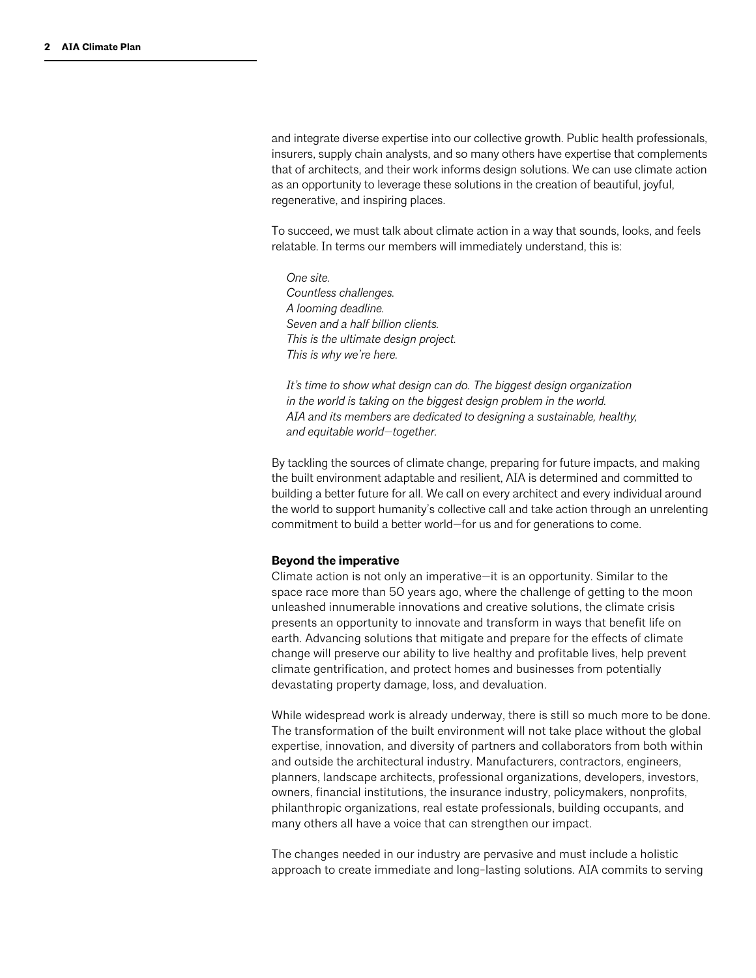and integrate diverse expertise into our collective growth. Public health professionals, insurers, supply chain analysts, and so many others have expertise that complements that of architects, and their work informs design solutions. We can use climate action as an opportunity to leverage these solutions in the creation of beautiful, joyful, regenerative, and inspiring places.

To succeed, we must talk about climate action in a way that sounds, looks, and feels relatable. In terms our members will immediately understand, this is:

*One site. Countless challenges. A looming deadline. Seven and a half billion clients. This is the ultimate design project. This is why we're here.*

*It's time to show what design can do. The biggest design organization in the world is taking on the biggest design problem in the world. AIA and its members are dedicated to designing a sustainable, healthy, and equitable world—together.*

By tackling the sources of climate change, preparing for future impacts, and making the built environment adaptable and resilient, AIA is determined and committed to building a better future for all. We call on every architect and every individual around the world to support humanity's collective call and take action through an unrelenting commitment to build a better world—for us and for generations to come.

#### **Beyond the imperative**

Climate action is not only an imperative—it is an opportunity. Similar to the space race more than 50 years ago, where the challenge of getting to the moon unleashed innumerable innovations and creative solutions, the climate crisis presents an opportunity to innovate and transform in ways that benefit life on earth. Advancing solutions that mitigate and prepare for the effects of climate change will preserve our ability to live healthy and profitable lives, help prevent climate gentrification, and protect homes and businesses from potentially devastating property damage, loss, and devaluation.

While widespread work is already underway, there is still so much more to be done. The transformation of the built environment will not take place without the global expertise, innovation, and diversity of partners and collaborators from both within and outside the architectural industry. Manufacturers, contractors, engineers, planners, landscape architects, professional organizations, developers, investors, owners, financial institutions, the insurance industry, policymakers, nonprofits, philanthropic organizations, real estate professionals, building occupants, and many others all have a voice that can strengthen our impact.

The changes needed in our industry are pervasive and must include a holistic approach to create immediate and long-lasting solutions. AIA commits to serving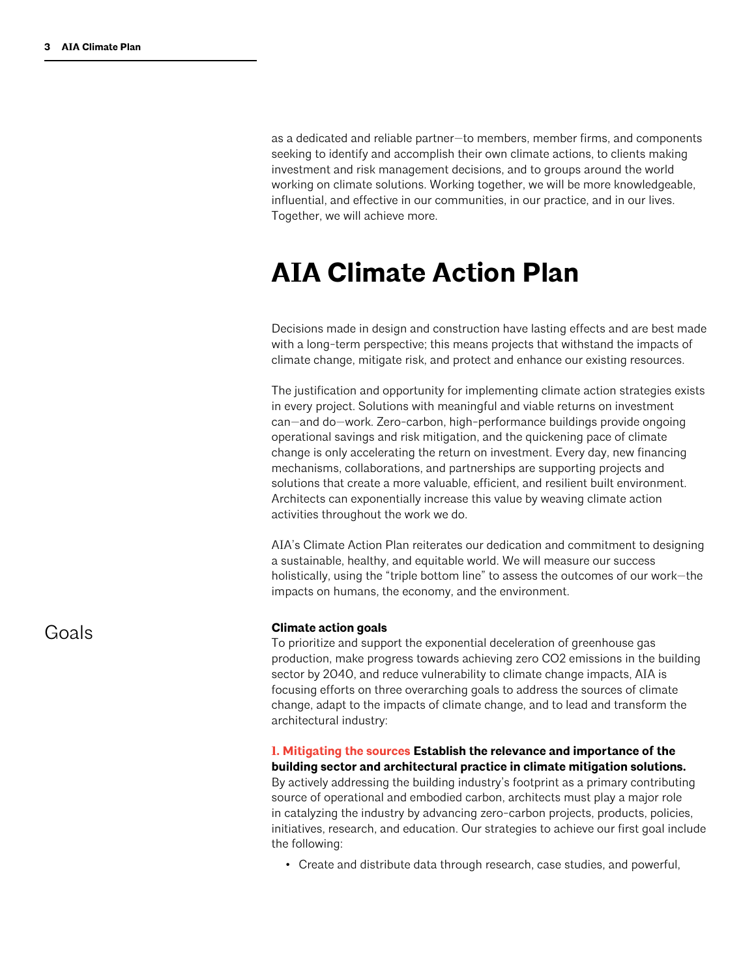as a dedicated and reliable partner—to members, member firms, and components seeking to identify and accomplish their own climate actions, to clients making investment and risk management decisions, and to groups around the world working on climate solutions. Working together, we will be more knowledgeable, influential, and effective in our communities, in our practice, and in our lives. Together, we will achieve more.

## **AIA Climate Action Plan**

Decisions made in design and construction have lasting effects and are best made with a long-term perspective; this means projects that withstand the impacts of climate change, mitigate risk, and protect and enhance our existing resources.

The justification and opportunity for implementing climate action strategies exists in every project. Solutions with meaningful and viable returns on investment can—and do—work. Zero-carbon, high-performance buildings provide ongoing operational savings and risk mitigation, and the quickening pace of climate change is only accelerating the return on investment. Every day, new financing mechanisms, collaborations, and partnerships are supporting projects and solutions that create a more valuable, efficient, and resilient built environment. Architects can exponentially increase this value by weaving climate action activities throughout the work we do.

AIA's Climate Action Plan reiterates our dedication and commitment to designing a sustainable, healthy, and equitable world. We will measure our success holistically, using the "triple bottom line" to assess the outcomes of our work—the impacts on humans, the economy, and the environment.

#### **Climate action goals**

To prioritize and support the exponential deceleration of greenhouse gas production, make progress towards achieving zero CO2 emissions in the building sector by 2040, and reduce vulnerability to climate change impacts, AIA is focusing efforts on three overarching goals to address the sources of climate change, adapt to the impacts of climate change, and to lead and transform the architectural industry:

#### **1. Mitigating the sources Establish the relevance and importance of the building sector and architectural practice in climate mitigation solutions.**

By actively addressing the building industry's footprint as a primary contributing source of operational and embodied carbon, architects must play a major role in catalyzing the industry by advancing zero-carbon projects, products, policies, initiatives, research, and education. Our strategies to achieve our first goal include the following:

• Create and distribute data through research, case studies, and powerful,

Goals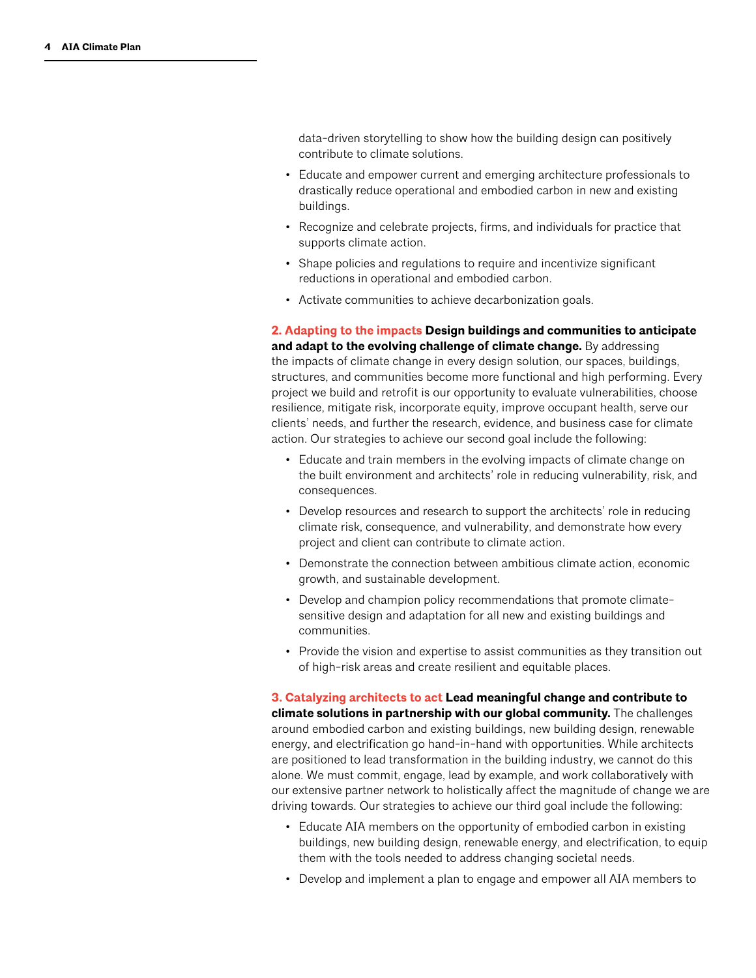data-driven storytelling to show how the building design can positively contribute to climate solutions.

- Educate and empower current and emerging architecture professionals to drastically reduce operational and embodied carbon in new and existing buildings.
- Recognize and celebrate projects, firms, and individuals for practice that supports climate action.
- Shape policies and regulations to require and incentivize significant reductions in operational and embodied carbon.
- Activate communities to achieve decarbonization goals.

**2. Adapting to the impacts Design buildings and communities to anticipate and adapt to the evolving challenge of climate change.** By addressing the impacts of climate change in every design solution, our spaces, buildings, structures, and communities become more functional and high performing. Every project we build and retrofit is our opportunity to evaluate vulnerabilities, choose resilience, mitigate risk, incorporate equity, improve occupant health, serve our clients' needs, and further the research, evidence, and business case for climate action. Our strategies to achieve our second goal include the following:

- Educate and train members in the evolving impacts of climate change on the built environment and architects' role in reducing vulnerability, risk, and consequences.
- Develop resources and research to support the architects' role in reducing climate risk, consequence, and vulnerability, and demonstrate how every project and client can contribute to climate action.
- Demonstrate the connection between ambitious climate action, economic growth, and sustainable development.
- Develop and champion policy recommendations that promote climatesensitive design and adaptation for all new and existing buildings and communities.
- Provide the vision and expertise to assist communities as they transition out of high-risk areas and create resilient and equitable places.

**3. Catalyzing architects to act Lead meaningful change and contribute to climate solutions in partnership with our global community.** The challenges around embodied carbon and existing buildings, new building design, renewable energy, and electrification go hand-in-hand with opportunities. While architects are positioned to lead transformation in the building industry, we cannot do this alone. We must commit, engage, lead by example, and work collaboratively with our extensive partner network to holistically affect the magnitude of change we are driving towards. Our strategies to achieve our third goal include the following:

- Educate AIA members on the opportunity of embodied carbon in existing buildings, new building design, renewable energy, and electrification, to equip them with the tools needed to address changing societal needs.
- Develop and implement a plan to engage and empower all AIA members to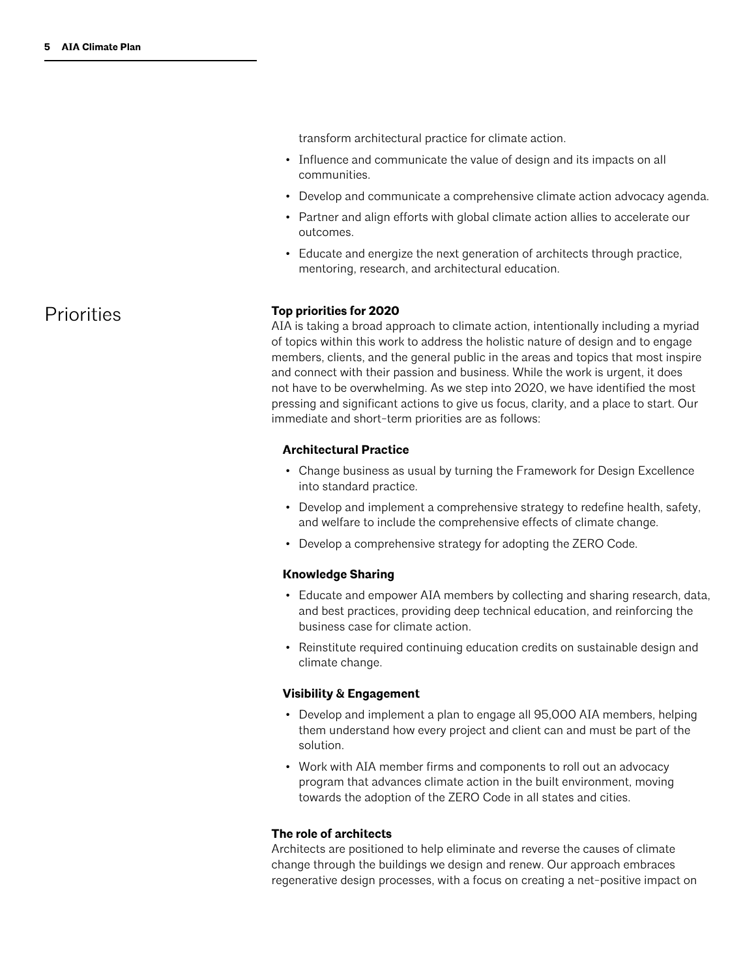transform architectural practice for climate action.

- Influence and communicate the value of design and its impacts on all communities.
- Develop and communicate a comprehensive climate action advocacy agenda.
- Partner and align efforts with global climate action allies to accelerate our outcomes.
- Educate and energize the next generation of architects through practice, mentoring, research, and architectural education.

#### **Top priorities for 2020**

AIA is taking a broad approach to climate action, intentionally including a myriad of topics within this work to address the holistic nature of design and to engage members, clients, and the general public in the areas and topics that most inspire and connect with their passion and business. While the work is urgent, it does not have to be overwhelming. As we step into 2020, we have identified the most pressing and significant actions to give us focus, clarity, and a place to start. Our immediate and short-term priorities are as follows:

#### **Architectural Practice**

- Change business as usual by turning the Framework for Design Excellence into standard practice.
- Develop and implement a comprehensive strategy to redefine health, safety, and welfare to include the comprehensive effects of climate change.
- Develop a comprehensive strategy for adopting the ZERO Code.

#### **Knowledge Sharing**

- Educate and empower AIA members by collecting and sharing research, data, and best practices, providing deep technical education, and reinforcing the business case for climate action.
- Reinstitute required continuing education credits on sustainable design and climate change.

#### **Visibility & Engagement**

- Develop and implement a plan to engage all 95,000 AIA members, helping them understand how every project and client can and must be part of the solution.
- Work with AIA member firms and components to roll out an advocacy program that advances climate action in the built environment, moving towards the adoption of the ZERO Code in all states and cities.

#### **The role of architects**

Architects are positioned to help eliminate and reverse the causes of climate change through the buildings we design and renew. Our approach embraces regenerative design processes, with a focus on creating a net-positive impact on

## **Priorities**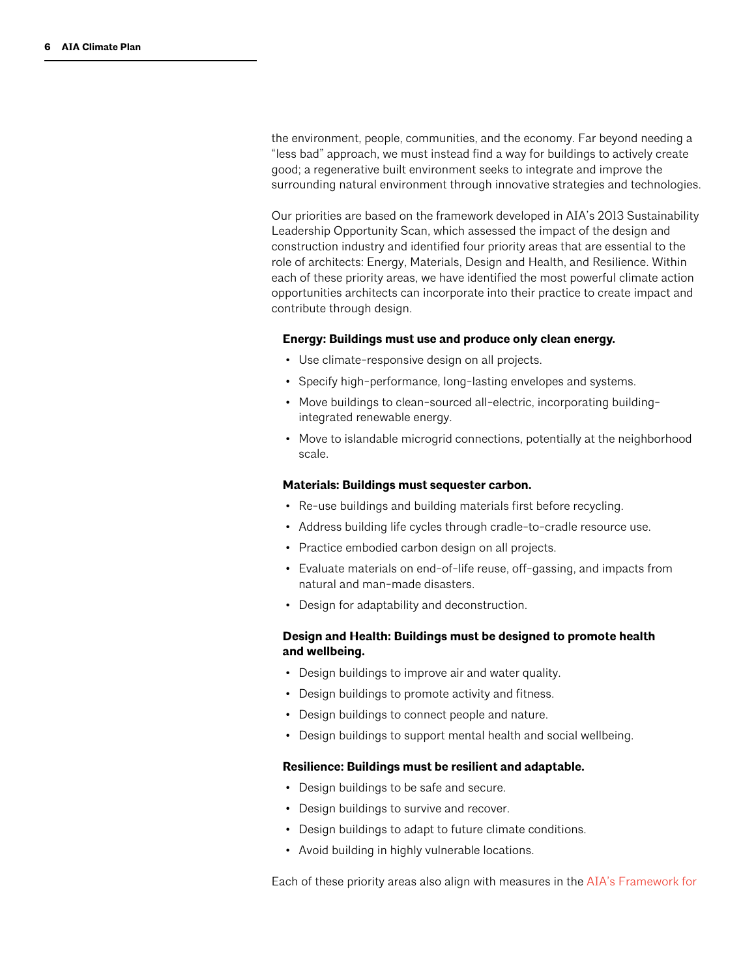the environment, people, communities, and the economy. Far beyond needing a "less bad" approach, we must instead find a way for buildings to actively create good; a regenerative built environment seeks to integrate and improve the surrounding natural environment through innovative strategies and technologies.

Our priorities are based on the framework developed in AIA's 2013 Sustainability Leadership Opportunity Scan, which assessed the impact of the design and construction industry and identified four priority areas that are essential to the role of architects: Energy, Materials, Design and Health, and Resilience. Within each of these priority areas, we have identified the most powerful climate action opportunities architects can incorporate into their practice to create impact and contribute through design.

#### **Energy: Buildings must use and produce only clean energy.**

- Use climate-responsive design on all projects.
- Specify high-performance, long-lasting envelopes and systems.
- Move buildings to clean-sourced all-electric, incorporating buildingintegrated renewable energy.
- Move to islandable microgrid connections, potentially at the neighborhood scale.

#### **Materials: Buildings must sequester carbon.**

- Re-use buildings and building materials first before recycling.
- Address building life cycles through cradle-to-cradle resource use.
- Practice embodied carbon design on all projects.
- Evaluate materials on end-of-life reuse, off-gassing, and impacts from natural and man-made disasters.
- Design for adaptability and deconstruction.

#### **Design and Health: Buildings must be designed to promote health and wellbeing.**

- Design buildings to improve air and water quality.
- Design buildings to promote activity and fitness.
- Design buildings to connect people and nature.
- Design buildings to support mental health and social wellbeing.

#### **Resilience: Buildings must be resilient and adaptable.**

- Design buildings to be safe and secure.
- Design buildings to survive and recover.
- Design buildings to adapt to future climate conditions.
- Avoid building in highly vulnerable locations.

Each of these priority areas also align with measures in the [AIA's Framework for](https://www.aia.org/resources/6077668-framework-for-design-excellence)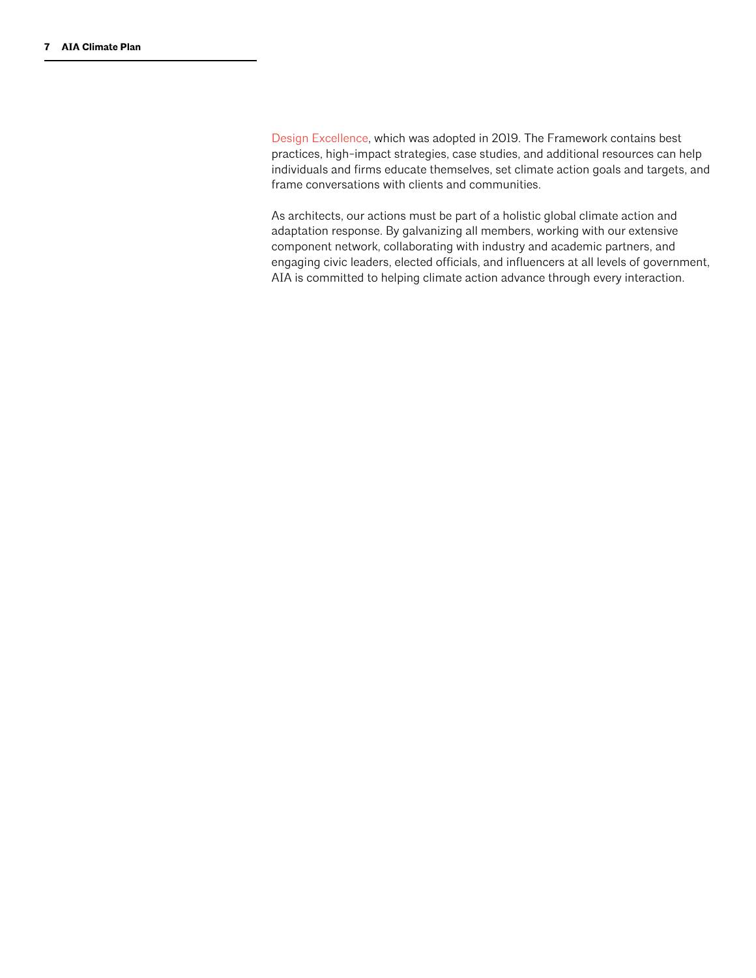[Design Excellence](https://www.aia.org/resources/6077668-framework-for-design-excellence), which was adopted in 2019. The Framework contains best practices, high-impact strategies, case studies, and additional resources can help individuals and firms educate themselves, set climate action goals and targets, and frame conversations with clients and communities.

As architects, our actions must be part of a holistic global climate action and adaptation response. By galvanizing all members, working with our extensive component network, collaborating with industry and academic partners, and engaging civic leaders, elected officials, and influencers at all levels of government, AIA is committed to helping climate action advance through every interaction.